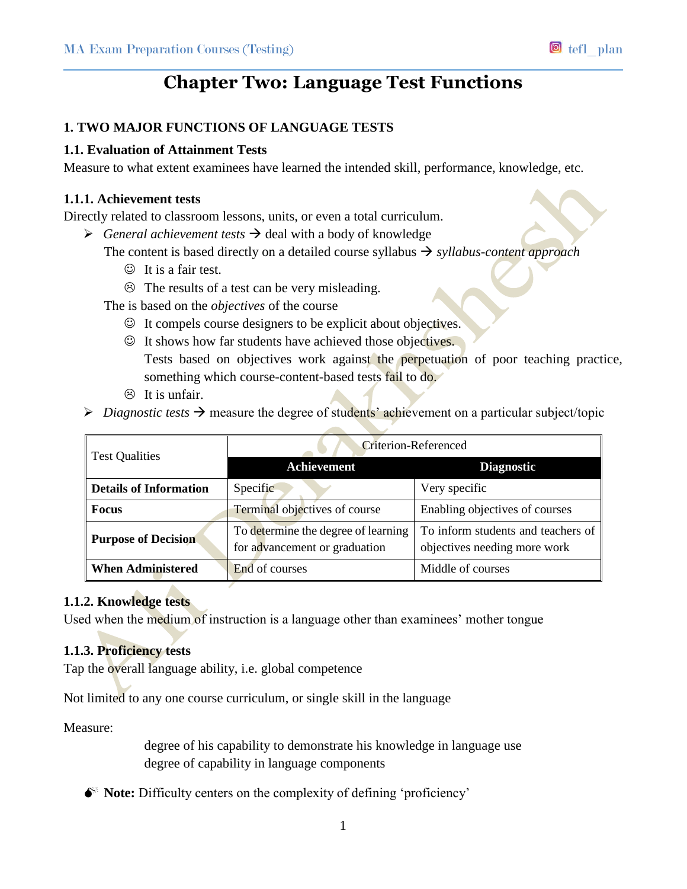# **Chapter Two: Language Test Functions**

# **1. TWO MAJOR FUNCTIONS OF LANGUAGE TESTS**

## **1.1. Evaluation of Attainment Tests**

Measure to what extent examinees have learned the intended skill, performance, knowledge, etc.

### **1.1.1. Achievement tests**

Directly related to classroom lessons, units, or even a total curriculum.

 $\triangleright$  *General achievement tests*  $\rightarrow$  deal with a body of knowledge

The content is based directly on a detailed course syllabus  $\rightarrow$  *syllabus-content approach* 

- $\odot$  It is a fair test.
- $\odot$  The results of a test can be very misleading.

The is based on the *objectives* of the course

- $\odot$  It compels course designers to be explicit about objectives.
- $\odot$  It shows how far students have achieved those objectives. Tests based on objectives work against the perpetuation of poor teaching practice, something which course-content-based tests fail to do.
- $\circledcirc$  It is unfair.

 $\triangleright$  *Diagnostic tests*  $\rightarrow$  measure the degree of students' achievement on a particular subject/topic

| <b>Test Qualities</b>         | <b>Criterion-Referenced</b>                                          |                                                                    |
|-------------------------------|----------------------------------------------------------------------|--------------------------------------------------------------------|
|                               | Achievement                                                          | <b>Diagnostic</b>                                                  |
| <b>Details of Information</b> | Specific                                                             | Very specific                                                      |
| <b>Focus</b>                  | Terminal objectives of course                                        | Enabling objectives of courses                                     |
| <b>Purpose of Decision</b>    | To determine the degree of learning<br>for advancement or graduation | To inform students and teachers of<br>objectives needing more work |
| <b>When Administered</b>      | End of courses                                                       | Middle of courses                                                  |

# **1.1.2. Knowledge tests**

Used when the medium of instruction is a language other than examinees' mother tongue

## **1.1.3. Proficiency tests**

Tap the overall language ability, i.e. global competence

Not limited to any one course curriculum, or single skill in the language

Measure:

degree of his capability to demonstrate his knowledge in language use degree of capability in language components

 $\bullet^*$  **Note:** Difficulty centers on the complexity of defining 'proficiency'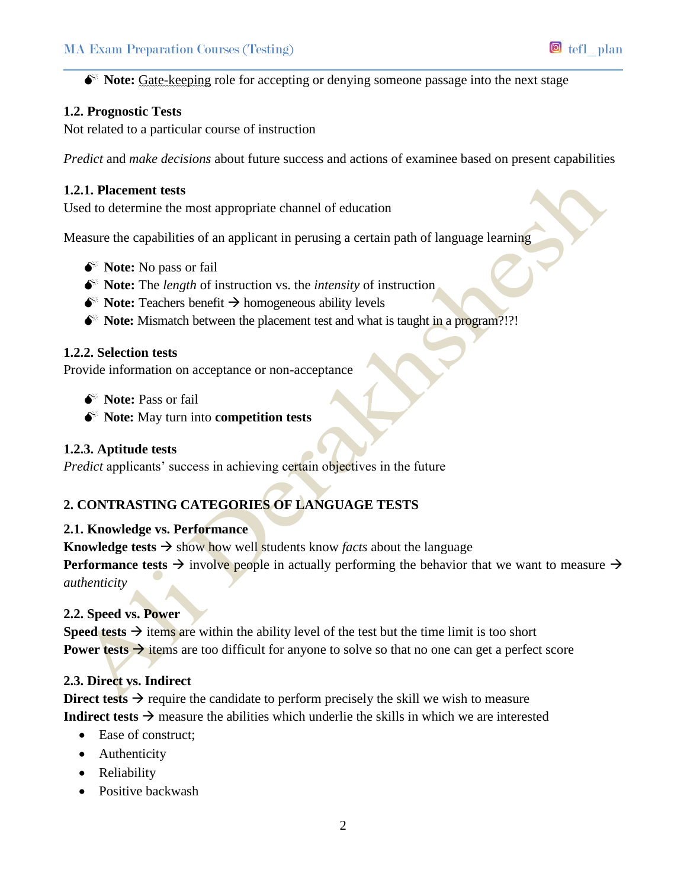$\bullet^*$  **Note:** Gate-keeping role for accepting or denying someone passage into the next stage

## **1.2. Prognostic Tests**

Not related to a particular course of instruction

*Predict* and *make decisions* about future success and actions of examinee based on present capabilities

#### **1.2.1. Placement tests**

Used to determine the most appropriate channel of education

Measure the capabilities of an applicant in perusing a certain path of language learning

- $\bullet^*$  **Note:** No pass or fail
- $\bullet^*$  **Note:** The *length* of instruction vs. the *intensity* of instruction
- $\bullet^*$  **Note:** Teachers benefit  $\rightarrow$  homogeneous ability levels
- **Note:** Mismatch between the placement test and what is taught in a program?!?!

#### **1.2.2. Selection tests**

Provide information on acceptance or non-acceptance

- $\bullet^*$  **Note:** Pass or fail
- **Note:** May turn into **competition tests**

#### **1.2.3. Aptitude tests**

*Predict* applicants' success in achieving certain objectives in the future

# **2. CONTRASTING CATEGORIES OF LANGUAGE TESTS**

#### **2.1. Knowledge vs. Performance**

**Knowledge tests**  $\rightarrow$  show how well students know *facts* about the language

**Performance tests**  $\rightarrow$  involve people in actually performing the behavior that we want to measure  $\rightarrow$ *authenticity*

## **2.2. Speed vs. Power**

**Speed tests**  $\rightarrow$  items are within the ability level of the test but the time limit is too short **Power tests**  $\rightarrow$  items are too difficult for anyone to solve so that no one can get a perfect score

### **2.3. Direct vs. Indirect**

**Direct tests**  $\rightarrow$  require the candidate to perform precisely the skill we wish to measure **Indirect tests**  $\rightarrow$  measure the abilities which underlie the skills in which we are interested

- Ease of construct;
- Authenticity
- Reliability
- Positive backwash